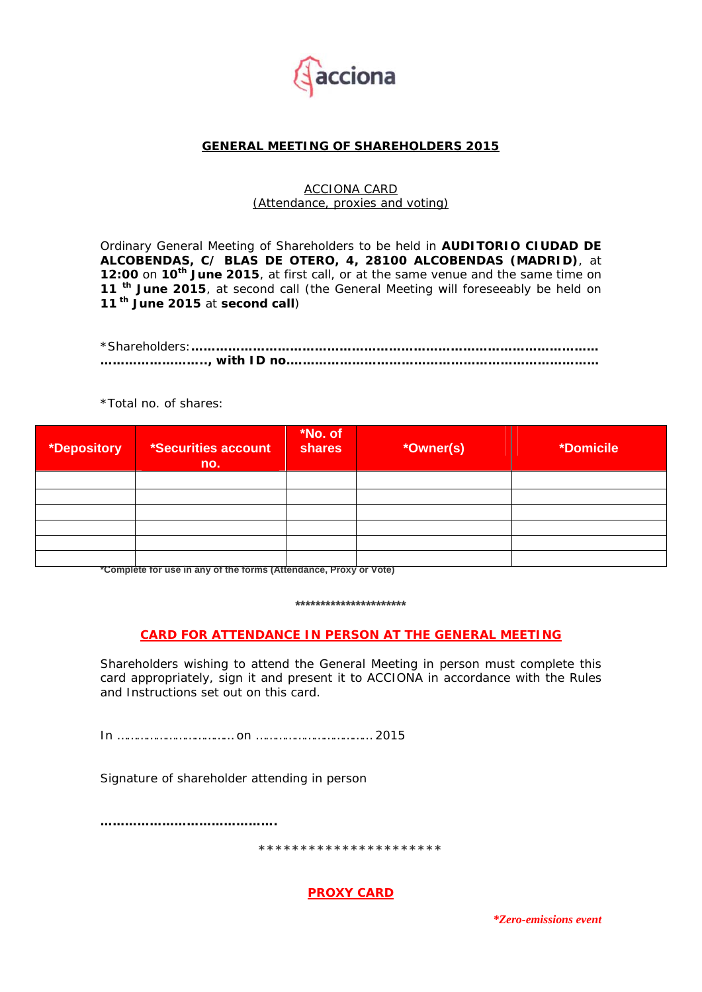

# **GENERAL MEETING OF SHAREHOLDERS 2015**

#### ACCIONA CARD (Attendance, proxies and voting)

Ordinary General Meeting of Shareholders to be held in **AUDITORIO CIUDAD DE ALCOBENDAS, C/ BLAS DE OTERO, 4, 28100 ALCOBENDAS (MADRID)**, at **12:00** on **10th June 2015**, at first call, or at the same venue and the same time on **11 th June 2015**, at second call (the General Meeting will foreseeably be held on **11 th June 2015** at **second call**)

\*Total no. of shares:

| *Depository | *Securities account<br>no. | *No. of<br>shares | *Owner(s) | <i><b>*Domicile</b></i> |
|-------------|----------------------------|-------------------|-----------|-------------------------|
|             |                            |                   |           |                         |
|             |                            |                   |           |                         |
|             |                            |                   |           |                         |
|             |                            |                   |           |                         |
|             |                            |                   |           |                         |
|             |                            |                   |           |                         |

**\*Complete for use in any of the forms (Attendance, Proxy or Vote)** 

#### **\*\*\*\*\*\*\*\*\*\*\*\*\*\*\*\*\*\*\*\*\*\***

## **CARD FOR ATTENDANCE IN PERSON AT THE GENERAL MEETING**

Shareholders wishing to attend the General Meeting in person must complete this card appropriately, sign it and present it to ACCIONA in accordance with the Rules and Instructions set out on this card.

In ……………………………… on ……………………………… 2015

Signature of shareholder attending in person

**…………………………………….** 

**\*\*\*\*\*\*\*\*\*\*\*\*\*\*\*\*\*\*\*\*\*\*** 

**PROXY CARD** 

*\*Zero-emissions event*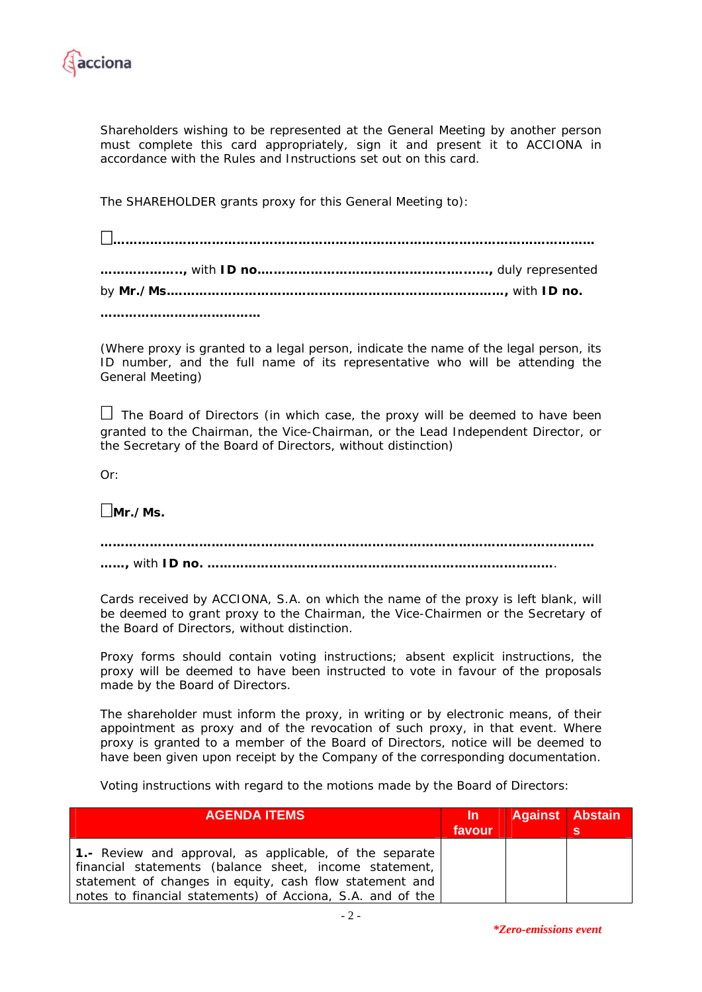

Shareholders wishing to be represented at the General Meeting by another person must complete this card appropriately, sign it and present it to ACCIONA in accordance with the Rules and Instructions set out on this card.

The SHAREHOLDER grants proxy for this General Meeting to):

(Where proxy is granted to a legal person, indicate the name of the legal person, its ID number, and the full name of its representative who will be attending the General Meeting)

 $\Box$  The Board of Directors (in which case, the proxy will be deemed to have been granted to the Chairman, the Vice-Chairman, or the Lead Independent Director, or the Secretary of the Board of Directors, without distinction)

 $Or:$ 

**Mr./Ms.** 

**………………………………………………………………………………………………………… ……,** with **ID no. …………………………………………………………………………**.

Cards received by ACCIONA, S.A. on which the name of the proxy is left blank, will be deemed to grant proxy to the Chairman, the Vice-Chairmen or the Secretary of the Board of Directors, without distinction.

Proxy forms should contain voting instructions; absent explicit instructions, the proxy will be deemed to have been instructed to vote in favour of the proposals made by the Board of Directors.

The shareholder must inform the proxy, in writing or by electronic means, of their appointment as proxy and of the revocation of such proxy, in that event. Where proxy is granted to a member of the Board of Directors, notice will be deemed to have been given upon receipt by the Company of the corresponding documentation.

Voting instructions with regard to the motions made by the Board of Directors:

| <b>AGENDA ITEMS</b>                                                                                                   | / In ≀<br>favour | <b>Against Abstain</b> | 'S |
|-----------------------------------------------------------------------------------------------------------------------|------------------|------------------------|----|
| 1.- Review and approval, as applicable, of the separate<br>  financial statements (balance sheet, income statement,   |                  |                        |    |
| statement of changes in equity, cash flow statement and<br>notes to financial statements) of Acciona, S.A. and of the |                  |                        |    |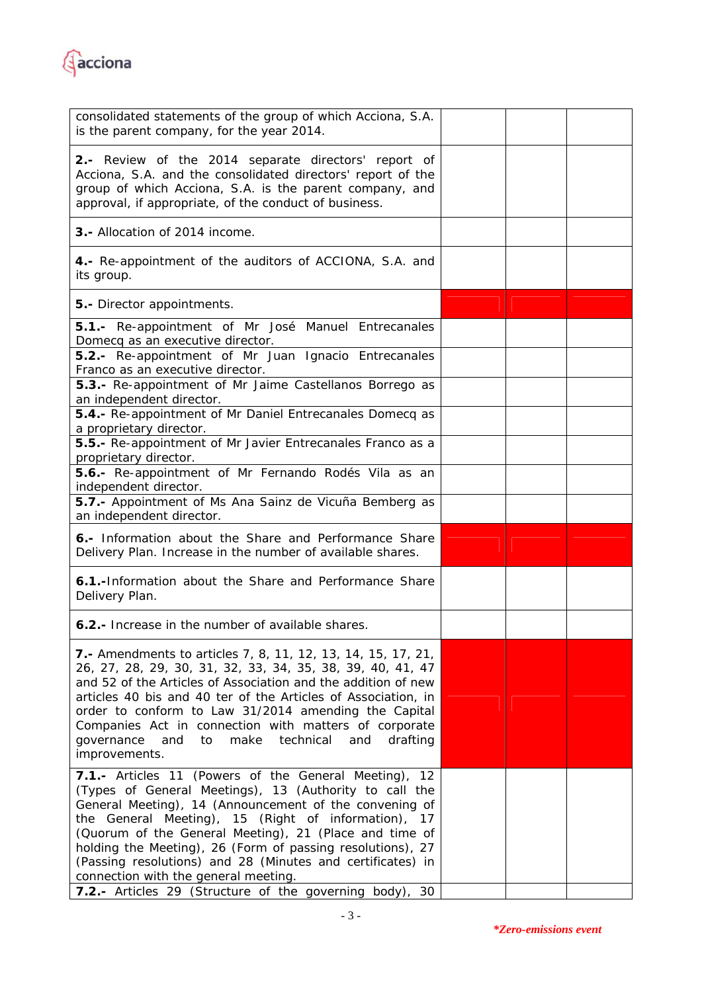

| consolidated statements of the group of which Acciona, S.A.<br>is the parent company, for the year 2014.                                                                                                                                                                                                                                                                                                                                                                                                                        |  |  |
|---------------------------------------------------------------------------------------------------------------------------------------------------------------------------------------------------------------------------------------------------------------------------------------------------------------------------------------------------------------------------------------------------------------------------------------------------------------------------------------------------------------------------------|--|--|
| 2.- Review of the 2014 separate directors' report of<br>Acciona, S.A. and the consolidated directors' report of the<br>group of which Acciona, S.A. is the parent company, and<br>approval, if appropriate, of the conduct of business.                                                                                                                                                                                                                                                                                         |  |  |
| <b>3.-</b> Allocation of 2014 income.                                                                                                                                                                                                                                                                                                                                                                                                                                                                                           |  |  |
| 4.- Re-appointment of the auditors of ACCIONA, S.A. and<br>its group.                                                                                                                                                                                                                                                                                                                                                                                                                                                           |  |  |
| 5.- Director appointments.                                                                                                                                                                                                                                                                                                                                                                                                                                                                                                      |  |  |
| 5.1.- Re-appointment of Mr José Manuel Entrecanales<br>Domecq as an executive director.                                                                                                                                                                                                                                                                                                                                                                                                                                         |  |  |
| 5.2.- Re-appointment of Mr Juan Ignacio Entrecanales<br>Franco as an executive director.                                                                                                                                                                                                                                                                                                                                                                                                                                        |  |  |
| 5.3.- Re-appointment of Mr Jaime Castellanos Borrego as<br>an independent director.                                                                                                                                                                                                                                                                                                                                                                                                                                             |  |  |
| 5.4.- Re-appointment of Mr Daniel Entrecanales Domecq as<br>a proprietary director.                                                                                                                                                                                                                                                                                                                                                                                                                                             |  |  |
| 5.5.- Re-appointment of Mr Javier Entrecanales Franco as a<br>proprietary director.                                                                                                                                                                                                                                                                                                                                                                                                                                             |  |  |
| 5.6.- Re-appointment of Mr Fernando Rodés Vila as an<br>independent director.                                                                                                                                                                                                                                                                                                                                                                                                                                                   |  |  |
| 5.7.- Appointment of Ms Ana Sainz de Vicuña Bemberg as<br>an independent director.                                                                                                                                                                                                                                                                                                                                                                                                                                              |  |  |
| 6.- Information about the Share and Performance Share<br>Delivery Plan. Increase in the number of available shares.                                                                                                                                                                                                                                                                                                                                                                                                             |  |  |
| 6.1.-Information about the Share and Performance Share<br>Delivery Plan.                                                                                                                                                                                                                                                                                                                                                                                                                                                        |  |  |
| 6.2.- Increase in the number of available shares.                                                                                                                                                                                                                                                                                                                                                                                                                                                                               |  |  |
| <b>7.</b> Amendments to articles 7, 8, 11, 12, 13, 14, 15, 17, 21,<br>26, 27, 28, 29, 30, 31, 32, 33, 34, 35, 38, 39, 40, 41, 47<br>and 52 of the Articles of Association and the addition of new<br>articles 40 bis and 40 ter of the Articles of Association, in<br>order to conform to Law 31/2014 amending the Capital<br>Companies Act in connection with matters of corporate<br>make<br>technical<br>qovernance<br>and<br>to<br>and<br>drafting<br>improvements.                                                         |  |  |
| 7.1.- Articles 11 (Powers of the General Meeting),<br>12<br>(Types of General Meetings), 13 (Authority to call the<br>General Meeting), 14 (Announcement of the convening of<br>the General Meeting), 15 (Right of information),<br>17<br>(Quorum of the General Meeting), 21 (Place and time of<br>holding the Meeting), 26 (Form of passing resolutions), 27<br>(Passing resolutions) and 28 (Minutes and certificates) in<br>connection with the general meeting.<br>7.2.- Articles 29 (Structure of the governing body), 30 |  |  |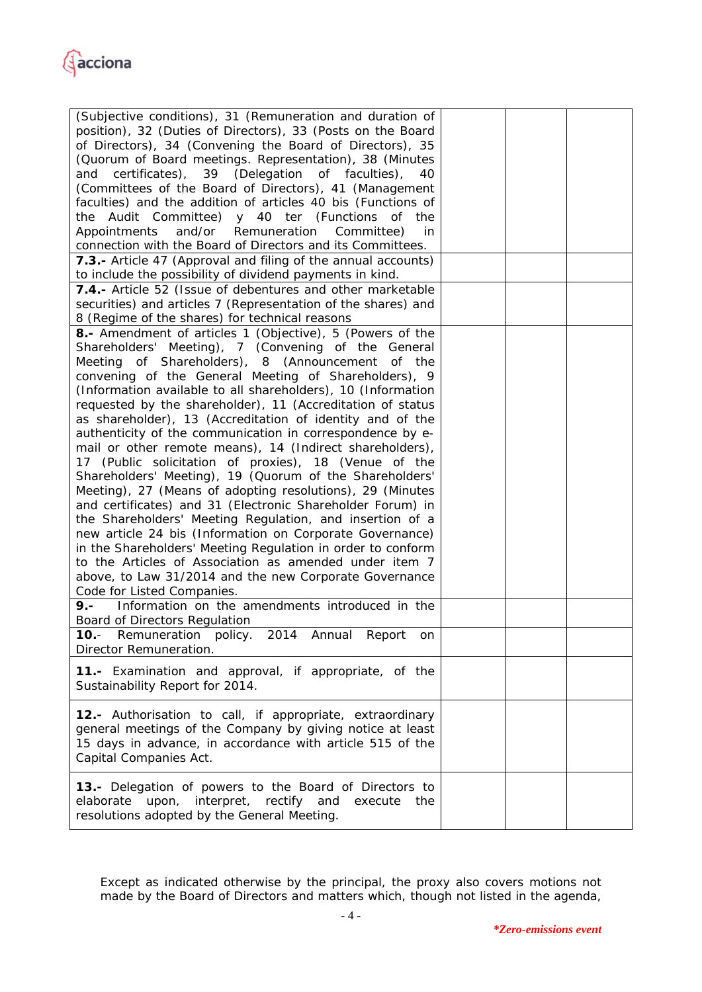

| (Subjective conditions), 31 (Remuneration and duration of<br>position), 32 (Duties of Directors), 33 (Posts on the Board<br>of Directors), 34 (Convening the Board of Directors), 35<br>(Quorum of Board meetings. Representation), 38 (Minutes<br>certificates), 39 (Delegation of faculties),<br>and<br>40<br>(Committees of the Board of Directors), 41 (Management<br>faculties) and the addition of articles 40 bis (Functions of<br>the Audit Committee) y 40 ter (Functions of the<br>Appointments<br>and/or Remuneration Committee)<br>in<br>connection with the Board of Directors and its Committees.                                                                                                                                                                                                                                                                                                                                                                                                                                                                                                                                                                                                                                                                                                             |  |  |
|-----------------------------------------------------------------------------------------------------------------------------------------------------------------------------------------------------------------------------------------------------------------------------------------------------------------------------------------------------------------------------------------------------------------------------------------------------------------------------------------------------------------------------------------------------------------------------------------------------------------------------------------------------------------------------------------------------------------------------------------------------------------------------------------------------------------------------------------------------------------------------------------------------------------------------------------------------------------------------------------------------------------------------------------------------------------------------------------------------------------------------------------------------------------------------------------------------------------------------------------------------------------------------------------------------------------------------|--|--|
| 7.3.- Article 47 (Approval and filing of the annual accounts)<br>to include the possibility of dividend payments in kind.                                                                                                                                                                                                                                                                                                                                                                                                                                                                                                                                                                                                                                                                                                                                                                                                                                                                                                                                                                                                                                                                                                                                                                                                   |  |  |
| 7.4.- Article 52 (Issue of debentures and other marketable<br>securities) and articles 7 (Representation of the shares) and<br>8 (Regime of the shares) for technical reasons                                                                                                                                                                                                                                                                                                                                                                                                                                                                                                                                                                                                                                                                                                                                                                                                                                                                                                                                                                                                                                                                                                                                               |  |  |
| <b>8.-</b> Amendment of articles 1 (Objective), 5 (Powers of the<br>Shareholders' Meeting), 7 (Convening of the General<br>Meeting of Shareholders), 8 (Announcement of the<br>convening of the General Meeting of Shareholders), 9<br>(Information available to all shareholders), 10 (Information<br>requested by the shareholder), 11 (Accreditation of status<br>as shareholder), 13 (Accreditation of identity and of the<br>authenticity of the communication in correspondence by e-<br>mail or other remote means), 14 (Indirect shareholders),<br>17 (Public solicitation of proxies), 18 (Venue of the<br>Shareholders' Meeting), 19 (Quorum of the Shareholders'<br>Meeting), 27 (Means of adopting resolutions), 29 (Minutes<br>and certificates) and 31 (Electronic Shareholder Forum) in<br>the Shareholders' Meeting Regulation, and insertion of a<br>new article 24 bis (Information on Corporate Governance)<br>in the Shareholders' Meeting Regulation in order to conform<br>to the Articles of Association as amended under item 7<br>above, to Law 31/2014 and the new Corporate Governance<br>Code for Listed Companies.<br>9.- Information on the amendments introduced in the<br><b>Board of Directors Regulation</b><br>10.- Remuneration policy. 2014 Annual Report on<br>Director Remuneration. |  |  |
| 11.- Examination and approval, if appropriate, of the<br>Sustainability Report for 2014.                                                                                                                                                                                                                                                                                                                                                                                                                                                                                                                                                                                                                                                                                                                                                                                                                                                                                                                                                                                                                                                                                                                                                                                                                                    |  |  |
| 12.- Authorisation to call, if appropriate, extraordinary<br>general meetings of the Company by giving notice at least<br>15 days in advance, in accordance with article 515 of the<br>Capital Companies Act.                                                                                                                                                                                                                                                                                                                                                                                                                                                                                                                                                                                                                                                                                                                                                                                                                                                                                                                                                                                                                                                                                                               |  |  |
| 13.- Delegation of powers to the Board of Directors to<br>elaborate upon, interpret, rectify and<br>execute<br>the<br>resolutions adopted by the General Meeting.                                                                                                                                                                                                                                                                                                                                                                                                                                                                                                                                                                                                                                                                                                                                                                                                                                                                                                                                                                                                                                                                                                                                                           |  |  |

Except as indicated otherwise by the principal, the proxy also covers motions not made by the Board of Directors and matters which, though not listed in the agenda,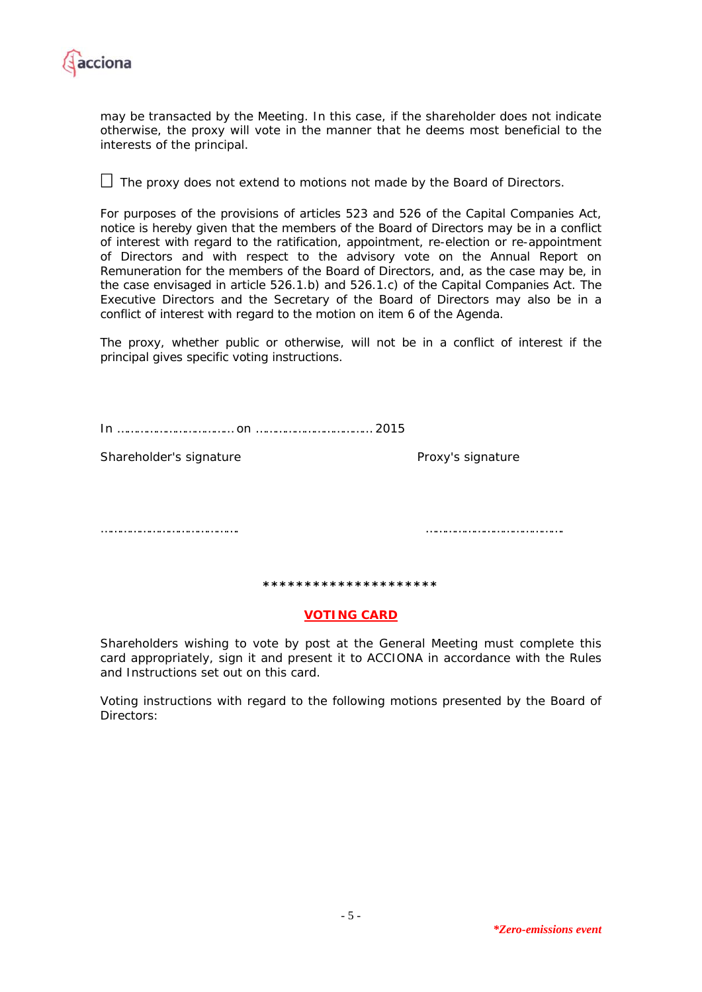

may be transacted by the Meeting. In this case, if the shareholder does not indicate otherwise, the proxy will vote in the manner that he deems most beneficial to the interests of the principal.

 $\Box$  The proxy does not extend to motions not made by the Board of Directors.

For purposes of the provisions of articles 523 and 526 of the Capital Companies Act, notice is hereby given that the members of the Board of Directors may be in a conflict of interest with regard to the ratification, appointment, re-election or re-appointment of Directors and with respect to the advisory vote on the Annual Report on Remuneration for the members of the Board of Directors, and, as the case may be, in the case envisaged in article 526.1.b) and 526.1.c) of the Capital Companies Act. The Executive Directors and the Secretary of the Board of Directors may also be in a conflict of interest with regard to the motion on item 6 of the Agenda.

The proxy, whether public or otherwise, will not be in a conflict of interest if the principal gives specific voting instructions.

In ……………………………… on ……………………………… 2015

Shareholder's signature **Proxy's signature** Proxy's signature

……………………………………. …………………………………….

**\*\*\*\*\*\*\*\*\*\*\*\*\*\*\*\*\*\*\*\*\*** 

## **VOTING CARD**

Shareholders wishing to vote by post at the General Meeting must complete this card appropriately, sign it and present it to ACCIONA in accordance with the Rules and Instructions set out on this card.

Voting instructions with regard to the following motions presented by the Board of Directors: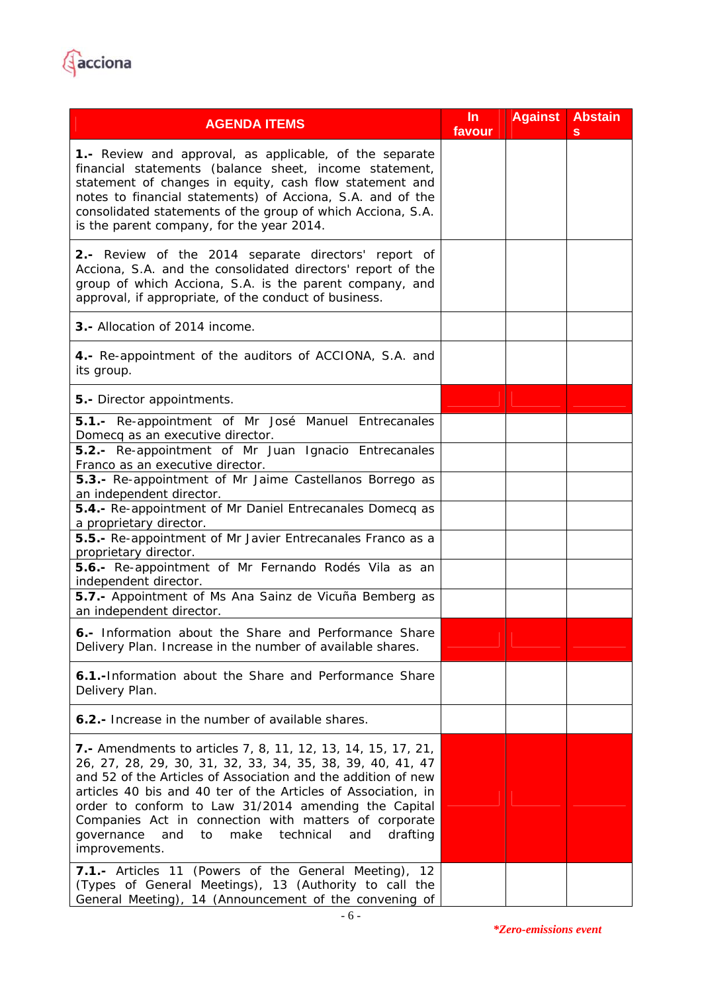

| <b>AGENDA ITEMS</b>                                                                                                                                                                                                                                                                                                                                                                                                                                                  | In<br>favour | <b>Against</b> | <b>Abstain</b><br>s |
|----------------------------------------------------------------------------------------------------------------------------------------------------------------------------------------------------------------------------------------------------------------------------------------------------------------------------------------------------------------------------------------------------------------------------------------------------------------------|--------------|----------------|---------------------|
| 1.- Review and approval, as applicable, of the separate<br>financial statements (balance sheet, income statement,<br>statement of changes in equity, cash flow statement and<br>notes to financial statements) of Acciona, S.A. and of the<br>consolidated statements of the group of which Acciona, S.A.<br>is the parent company, for the year 2014.                                                                                                               |              |                |                     |
| 2.- Review of the 2014 separate directors' report of<br>Acciona, S.A. and the consolidated directors' report of the<br>group of which Acciona, S.A. is the parent company, and<br>approval, if appropriate, of the conduct of business.                                                                                                                                                                                                                              |              |                |                     |
| 3.- Allocation of 2014 income.                                                                                                                                                                                                                                                                                                                                                                                                                                       |              |                |                     |
| 4.- Re-appointment of the auditors of ACCIONA, S.A. and<br>its group.                                                                                                                                                                                                                                                                                                                                                                                                |              |                |                     |
| 5.- Director appointments.                                                                                                                                                                                                                                                                                                                                                                                                                                           |              |                |                     |
| 5.1.- Re-appointment of Mr José Manuel Entrecanales<br>Domecq as an executive director.<br>5.2.- Re-appointment of Mr Juan Ignacio Entrecanales                                                                                                                                                                                                                                                                                                                      |              |                |                     |
| Franco as an executive director.                                                                                                                                                                                                                                                                                                                                                                                                                                     |              |                |                     |
| 5.3.- Re-appointment of Mr Jaime Castellanos Borrego as<br>an independent director.                                                                                                                                                                                                                                                                                                                                                                                  |              |                |                     |
| 5.4.- Re-appointment of Mr Daniel Entrecanales Domecq as<br>a proprietary director.                                                                                                                                                                                                                                                                                                                                                                                  |              |                |                     |
| 5.5.- Re-appointment of Mr Javier Entrecanales Franco as a<br>proprietary director.                                                                                                                                                                                                                                                                                                                                                                                  |              |                |                     |
| 5.6.- Re-appointment of Mr Fernando Rodés Vila as an<br>independent director.                                                                                                                                                                                                                                                                                                                                                                                        |              |                |                     |
| 5.7.- Appointment of Ms Ana Sainz de Vicuña Bemberg as<br>an independent director.                                                                                                                                                                                                                                                                                                                                                                                   |              |                |                     |
| 6.- Information about the Share and Performance Share<br>Delivery Plan. Increase in the number of available shares.                                                                                                                                                                                                                                                                                                                                                  |              |                |                     |
| 6.1.-Information about the Share and Performance Share<br>Delivery Plan.                                                                                                                                                                                                                                                                                                                                                                                             |              |                |                     |
| <b>6.2.-</b> Increase in the number of available shares.                                                                                                                                                                                                                                                                                                                                                                                                             |              |                |                     |
| <b>7.</b> Amendments to articles 7, 8, 11, 12, 13, 14, 15, 17, 21,<br>26, 27, 28, 29, 30, 31, 32, 33, 34, 35, 38, 39, 40, 41, 47<br>and 52 of the Articles of Association and the addition of new<br>articles 40 bis and 40 ter of the Articles of Association, in<br>order to conform to Law 31/2014 amending the Capital<br>Companies Act in connection with matters of corporate<br>and<br>to<br>make technical<br>and<br>drafting<br>governance<br>improvements. |              |                |                     |
| 7.1.- Articles 11 (Powers of the General Meeting),<br>12<br>(Types of General Meetings), 13 (Authority to call the<br>General Meeting), 14 (Announcement of the convening of                                                                                                                                                                                                                                                                                         |              |                |                     |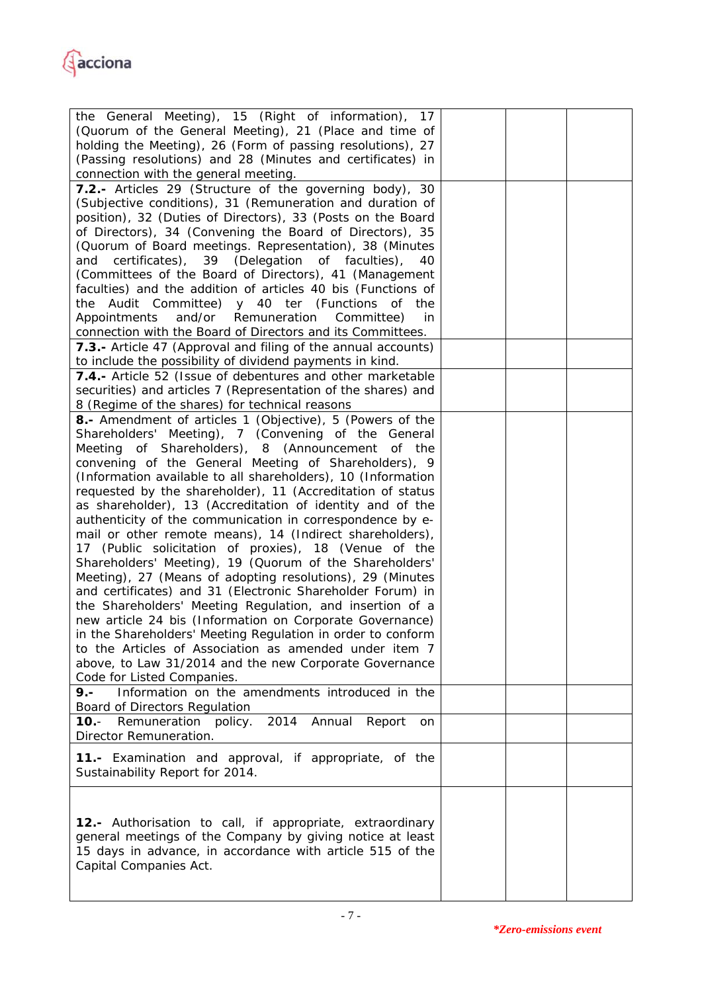

| the General Meeting), 15 (Right of information), 17<br>(Quorum of the General Meeting), 21 (Place and time of<br>holding the Meeting), 26 (Form of passing resolutions), 27<br>(Passing resolutions) and 28 (Minutes and certificates) in<br>connection with the general meeting.                                                                                                                                                                                                                                                                                                                                                                                                                                                                                                                                                                                                                                                                                                                                                                                                                                                                                                          |  |  |
|--------------------------------------------------------------------------------------------------------------------------------------------------------------------------------------------------------------------------------------------------------------------------------------------------------------------------------------------------------------------------------------------------------------------------------------------------------------------------------------------------------------------------------------------------------------------------------------------------------------------------------------------------------------------------------------------------------------------------------------------------------------------------------------------------------------------------------------------------------------------------------------------------------------------------------------------------------------------------------------------------------------------------------------------------------------------------------------------------------------------------------------------------------------------------------------------|--|--|
| 7.2.- Articles 29 (Structure of the governing body), 30<br>(Subjective conditions), 31 (Remuneration and duration of<br>position), 32 (Duties of Directors), 33 (Posts on the Board<br>of Directors), 34 (Convening the Board of Directors), 35<br>(Quorum of Board meetings. Representation), 38 (Minutes<br>certificates), 39 (Delegation of faculties),<br>and<br>40<br>(Committees of the Board of Directors), 41 (Management<br>faculties) and the addition of articles 40 bis (Functions of<br>the Audit Committee) y 40 ter (Functions of the<br>and/or Remuneration Committee)<br>Appointments<br>in<br>connection with the Board of Directors and its Committees.                                                                                                                                                                                                                                                                                                                                                                                                                                                                                                                 |  |  |
| 7.3.- Article 47 (Approval and filing of the annual accounts)<br>to include the possibility of dividend payments in kind.<br>7.4.- Article 52 (Issue of debentures and other marketable<br>securities) and articles 7 (Representation of the shares) and                                                                                                                                                                                                                                                                                                                                                                                                                                                                                                                                                                                                                                                                                                                                                                                                                                                                                                                                   |  |  |
| 8 (Regime of the shares) for technical reasons<br>8.- Amendment of articles 1 (Objective), 5 (Powers of the<br>Shareholders' Meeting), 7 (Convening of the General<br>Meeting of Shareholders), 8 (Announcement of the<br>convening of the General Meeting of Shareholders), 9<br>(Information available to all shareholders), 10 (Information<br>requested by the shareholder), 11 (Accreditation of status<br>as shareholder), 13 (Accreditation of identity and of the<br>authenticity of the communication in correspondence by e-<br>mail or other remote means), 14 (Indirect shareholders),<br>17 (Public solicitation of proxies), 18 (Venue of the<br>Shareholders' Meeting), 19 (Quorum of the Shareholders'<br>Meeting), 27 (Means of adopting resolutions), 29 (Minutes<br>and certificates) and 31 (Electronic Shareholder Forum) in<br>the Shareholders' Meeting Regulation, and insertion of a<br>new article 24 bis (Information on Corporate Governance)<br>in the Shareholders' Meeting Regulation in order to conform<br>to the Articles of Association as amended under item 7<br>above, to Law 31/2014 and the new Corporate Governance<br>Code for Listed Companies. |  |  |
| Information on the amendments introduced in the<br>$9. -$<br><b>Board of Directors Regulation</b><br>10.- Remuneration policy. 2014 Annual Report<br>on<br>Director Remuneration.                                                                                                                                                                                                                                                                                                                                                                                                                                                                                                                                                                                                                                                                                                                                                                                                                                                                                                                                                                                                          |  |  |
| 11.- Examination and approval, if appropriate, of the<br>Sustainability Report for 2014.                                                                                                                                                                                                                                                                                                                                                                                                                                                                                                                                                                                                                                                                                                                                                                                                                                                                                                                                                                                                                                                                                                   |  |  |
| 12.- Authorisation to call, if appropriate, extraordinary<br>general meetings of the Company by giving notice at least<br>15 days in advance, in accordance with article 515 of the<br>Capital Companies Act.                                                                                                                                                                                                                                                                                                                                                                                                                                                                                                                                                                                                                                                                                                                                                                                                                                                                                                                                                                              |  |  |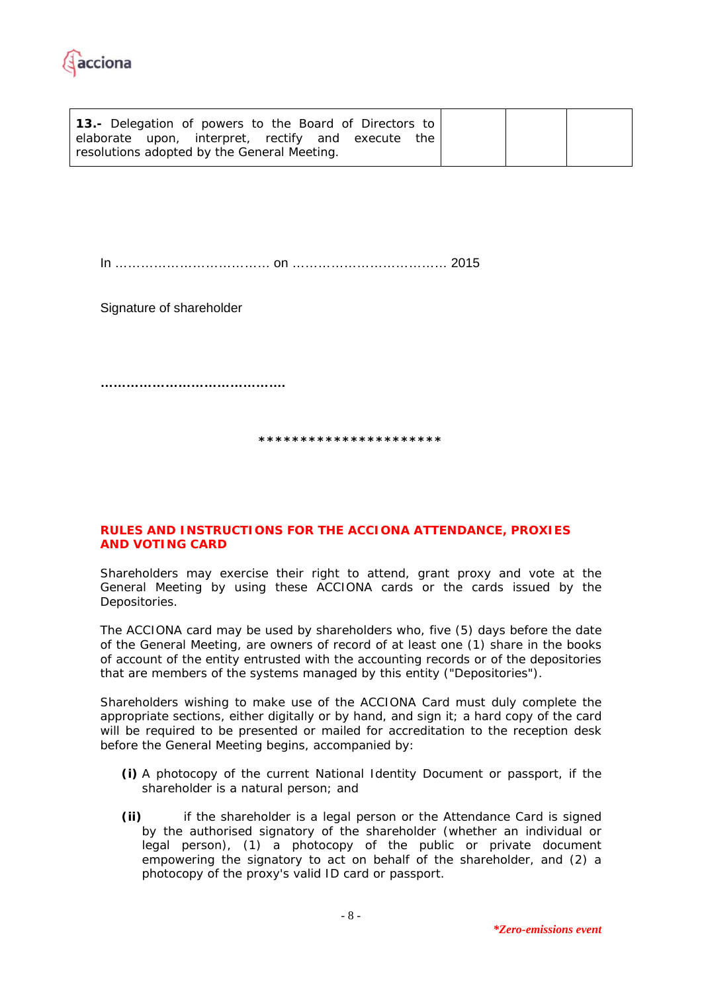

| <b>13.-</b> Delegation of powers to the Board of Directors to<br>elaborate upon, interpret, rectify and execute<br>the<br>resolutions adopted by the General Meeting. |  |  |
|-----------------------------------------------------------------------------------------------------------------------------------------------------------------------|--|--|
|-----------------------------------------------------------------------------------------------------------------------------------------------------------------------|--|--|

In ……………………………… on ……………………………… 2015

Signature of shareholder

**…………………………………….** 

**\*\*\*\*\*\*\*\*\*\*\*\*\*\*\*\*\*\*\*\*\*\*** 

## **RULES AND INSTRUCTIONS FOR THE ACCIONA ATTENDANCE, PROXIES AND VOTING CARD**

Shareholders may exercise their right to attend, grant proxy and vote at the General Meeting by using these ACCIONA cards or the cards issued by the Depositories.

The ACCIONA card may be used by shareholders who, five (5) days before the date of the General Meeting, are owners of record of at least one (1) share in the books of account of the entity entrusted with the accounting records or of the depositories that are members of the systems managed by this entity ("Depositories").

Shareholders wishing to make use of the ACCIONA Card must duly complete the appropriate sections, either digitally or by hand, and sign it; a hard copy of the card will be required to be presented or mailed for accreditation to the reception desk before the General Meeting begins, accompanied by:

- **(i)** A photocopy of the current National Identity Document or passport, if the shareholder is a natural person; and
- **(ii)** if the shareholder is a legal person or the Attendance Card is signed by the authorised signatory of the shareholder (whether an individual or legal person), (1) a photocopy of the public or private document empowering the signatory to act on behalf of the shareholder, and (2) a photocopy of the proxy's valid ID card or passport.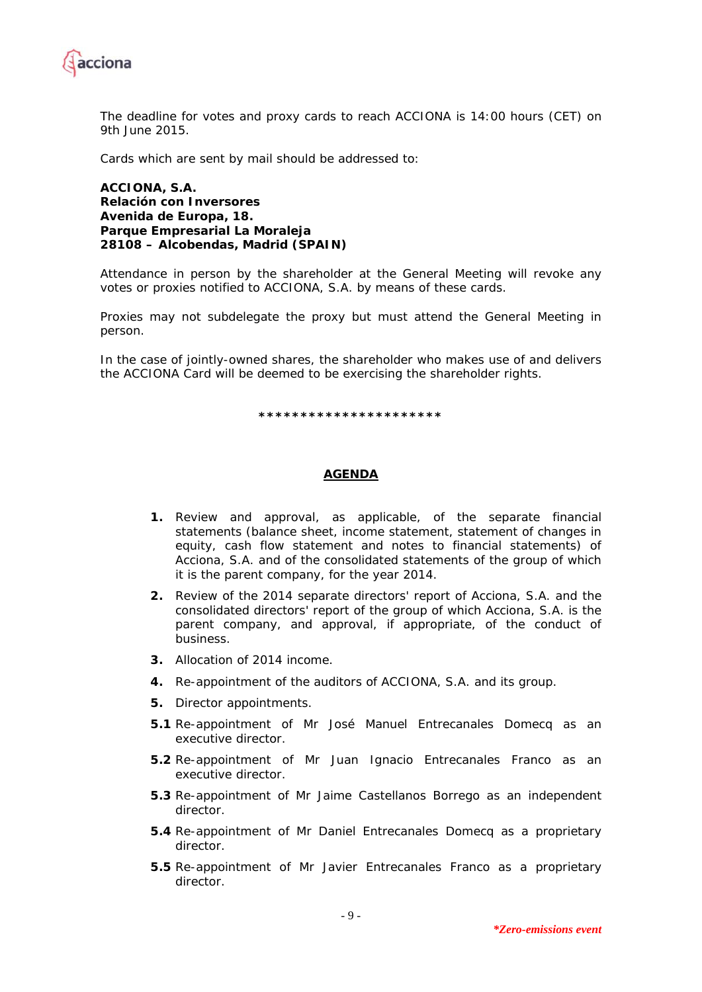

The deadline for votes and proxy cards to reach ACCIONA is 14:00 hours (CET) on 9th June 2015.

Cards which are sent by mail should be addressed to:

**ACCIONA, S.A. Relación con Inversores Avenida de Europa, 18. Parque Empresarial La Moraleja 28108 – Alcobendas, Madrid (SPAIN)** 

Attendance in person by the shareholder at the General Meeting will revoke any votes or proxies notified to ACCIONA, S.A. by means of these cards.

Proxies may not subdelegate the proxy but must attend the General Meeting in person.

In the case of jointly-owned shares, the shareholder who makes use of and delivers the ACCIONA Card will be deemed to be exercising the shareholder rights.

**\*\*\*\*\*\*\*\*\*\*\*\*\*\*\*\*\*\*\*\*\*\*** 

## **AGENDA**

- **1.** Review and approval, as applicable, of the separate financial statements (balance sheet, income statement, statement of changes in equity, cash flow statement and notes to financial statements) of Acciona, S.A. and of the consolidated statements of the group of which it is the parent company, for the year 2014.
- **2.** Review of the 2014 separate directors' report of Acciona, S.A. and the consolidated directors' report of the group of which Acciona, S.A. is the parent company, and approval, if appropriate, of the conduct of business.
- **3.** Allocation of 2014 income.
- **4.** Re-appointment of the auditors of ACCIONA, S.A. and its group.
- **5.** Director appointments.
- **5.1** Re-appointment of Mr José Manuel Entrecanales Domecq as an executive director.
- **5.2** Re-appointment of Mr Juan Ignacio Entrecanales Franco as an executive director.
- **5.3** Re-appointment of Mr Jaime Castellanos Borrego as an independent director.
- **5.4** Re-appointment of Mr Daniel Entrecanales Domecq as a proprietary director.
- **5.5** Re-appointment of Mr Javier Entrecanales Franco as a proprietary director.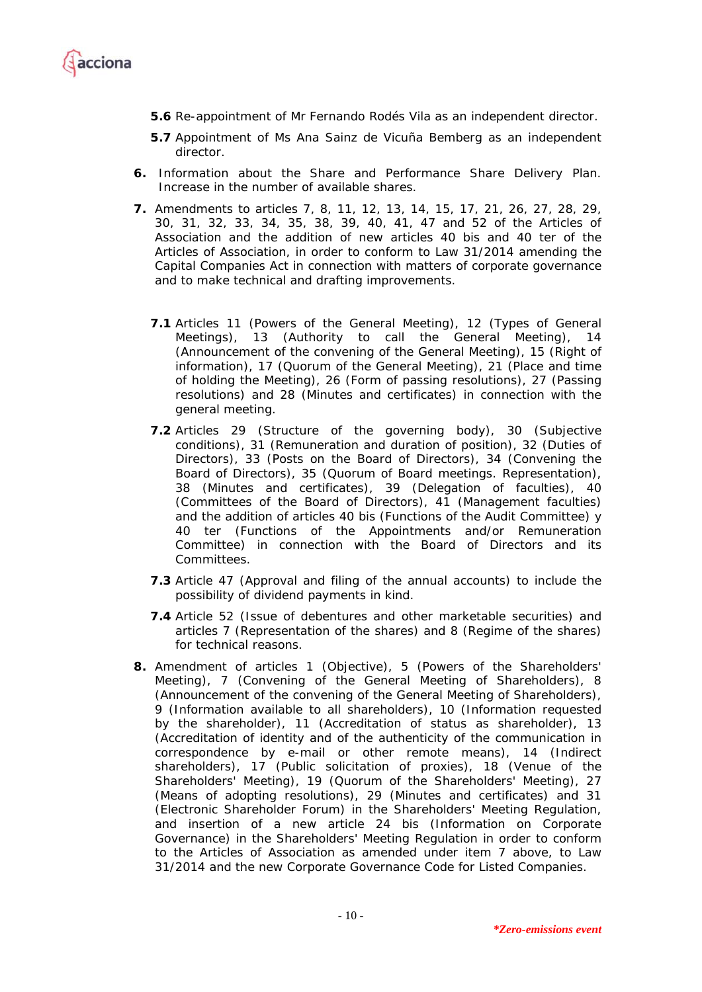

- **5.6** Re-appointment of Mr Fernando Rodés Vila as an independent director.
- **5.7** Appointment of Ms Ana Sainz de Vicuña Bemberg as an independent director.
- **6.** Information about the Share and Performance Share Delivery Plan. Increase in the number of available shares.
- **7.** Amendments to articles 7, 8, 11, 12, 13, 14, 15, 17, 21, 26, 27, 28, 29, 30, 31, 32, 33, 34, 35, 38, 39, 40, 41, 47 and 52 of the Articles of Association and the addition of new articles 40 bis and 40 ter of the Articles of Association, in order to conform to Law 31/2014 amending the Capital Companies Act in connection with matters of corporate governance and to make technical and drafting improvements.
	- **7.1** Articles 11 (Powers of the General Meeting), 12 (Types of General Meetings), 13 (Authority to call the General Meeting), 14 (Announcement of the convening of the General Meeting), 15 (Right of information), 17 (Quorum of the General Meeting), 21 (Place and time of holding the Meeting), 26 (Form of passing resolutions), 27 (Passing resolutions) and 28 (Minutes and certificates) in connection with the general meeting.
	- **7.2** Articles 29 (Structure of the governing body), 30 (Subjective conditions), 31 (Remuneration and duration of position), 32 (Duties of Directors), 33 (Posts on the Board of Directors), 34 (Convening the Board of Directors), 35 (Quorum of Board meetings. Representation), 38 (Minutes and certificates), 39 (Delegation of faculties), 40 (Committees of the Board of Directors), 41 (Management faculties) and the addition of articles 40 bis (Functions of the Audit Committee) y 40 ter (Functions of the Appointments and/or Remuneration Committee) in connection with the Board of Directors and its Committees.
	- **7.3** Article 47 (Approval and filing of the annual accounts) to include the possibility of dividend payments in kind.
	- **7.4** Article 52 (Issue of debentures and other marketable securities) and articles 7 (Representation of the shares) and 8 (Regime of the shares) for technical reasons.
- **8.** Amendment of articles 1 (Objective), 5 (Powers of the Shareholders' Meeting), 7 (Convening of the General Meeting of Shareholders), 8 (Announcement of the convening of the General Meeting of Shareholders), 9 (Information available to all shareholders), 10 (Information requested by the shareholder), 11 (Accreditation of status as shareholder), 13 (Accreditation of identity and of the authenticity of the communication in correspondence by e-mail or other remote means), 14 (Indirect shareholders), 17 (Public solicitation of proxies), 18 (Venue of the Shareholders' Meeting), 19 (Quorum of the Shareholders' Meeting), 27 (Means of adopting resolutions), 29 (Minutes and certificates) and 31 (Electronic Shareholder Forum) in the Shareholders' Meeting Regulation, and insertion of a new article 24 bis (Information on Corporate Governance) in the Shareholders' Meeting Regulation in order to conform to the Articles of Association as amended under item 7 above, to Law 31/2014 and the new Corporate Governance Code for Listed Companies.